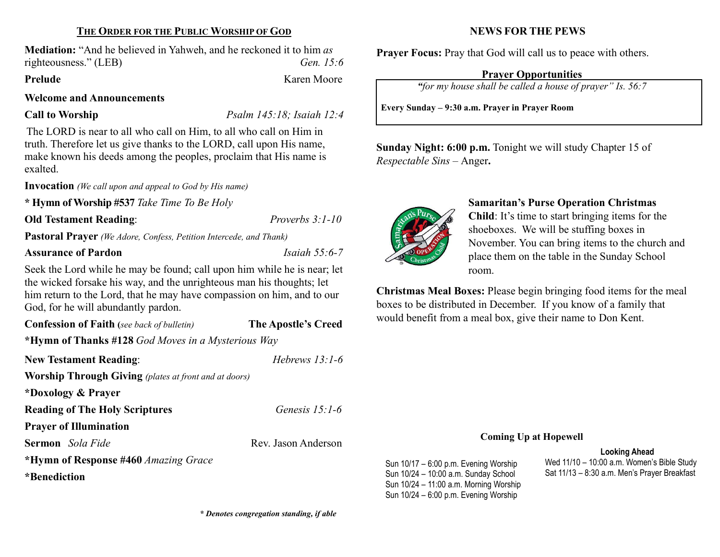## THE ORDER FOR THE PUBLIC WORSHIP OF GOD

Mediation: "And he believed in Yahweh, and he reckoned it to him as righteousness." (LEB) Gen. 15:6

Prelude Karen Moore

### Welcome and Announcements

Call to Worship Psalm 145:18; Isaiah 12:4

The LORD is near to all who call on Him, to all who call on Him in truth. Therefore let us give thanks to the LORD, call upon His name, make known his deeds among the peoples, proclaim that His name is exalted.

Invocation (We call upon and appeal to God by His name)

\* Hymn of Worship #537 Take Time To Be Holy

### Old Testament Reading: Proverbs 3:1-10

Pastoral Prayer (We Adore, Confess, Petition Intercede, and Thank)

# Assurance of Pardon **Isaiah 55:6-7**

Seek the Lord while he may be found; call upon him while he is near; let the wicked forsake his way, and the unrighteous man his thoughts; let him return to the Lord, that he may have compassion on him, and to our God, for he will abundantly pardon.

Confession of Faith (see back of bulletin) The Apostle's Creed

\*Hymn of Thanks #128 God Moves in a Mysterious Way

| <b>New Testament Reading:</b>                                | Hebrews $13:1-6$    |
|--------------------------------------------------------------|---------------------|
| <b>Worship Through Giving</b> (plates at front and at doors) |                     |
| *Doxology & Prayer                                           |                     |
| <b>Reading of The Holy Scriptures</b>                        | Genesis $15:1-6$    |
| <b>Prayer of Illumination</b>                                |                     |
| Sermon Sola Fide                                             | Rev. Jason Anderson |
| *Hymn of Response #460 Amazing Grace                         |                     |
| *Benediction                                                 |                     |

\* Denotes congregation standing, if able

# NEWS FOR THE PEWS

Prayer Focus: Pray that God will call us to peace with others.

# Prayer Opportunities

"for my house shall be called a house of prayer" Is. 56:7

Every Sunday – 9:30 a.m. Prayer in Prayer Room

Sunday Night: 6:00 p.m. Tonight we will study Chapter 15 of Respectable Sins – Anger.



# Samaritan's Purse Operation Christmas

Child: It's time to start bringing items for the shoeboxes. We will be stuffing boxes in November. You can bring items to the church and place them on the table in the Sunday School room.

Christmas Meal Boxes: Please begin bringing food items for the meal boxes to be distributed in December. If you know of a family that would benefit from a meal box, give their name to Don Kent.

#### Coming Up at Hopewell

#### Looking Ahead

Sun 10/17 – 6:00 p.m. Evening Worship Sun 10/24 – 10:00 a.m. Sunday School Sun 10/24 – 11:00 a.m. Morning Worship Sun 10/24 – 6:00 p.m. Evening Worship

Wed 11/10 – 10:00 a.m. Women's Bible Study Sat 11/13 – 8:30 a.m. Men's Prayer Breakfast